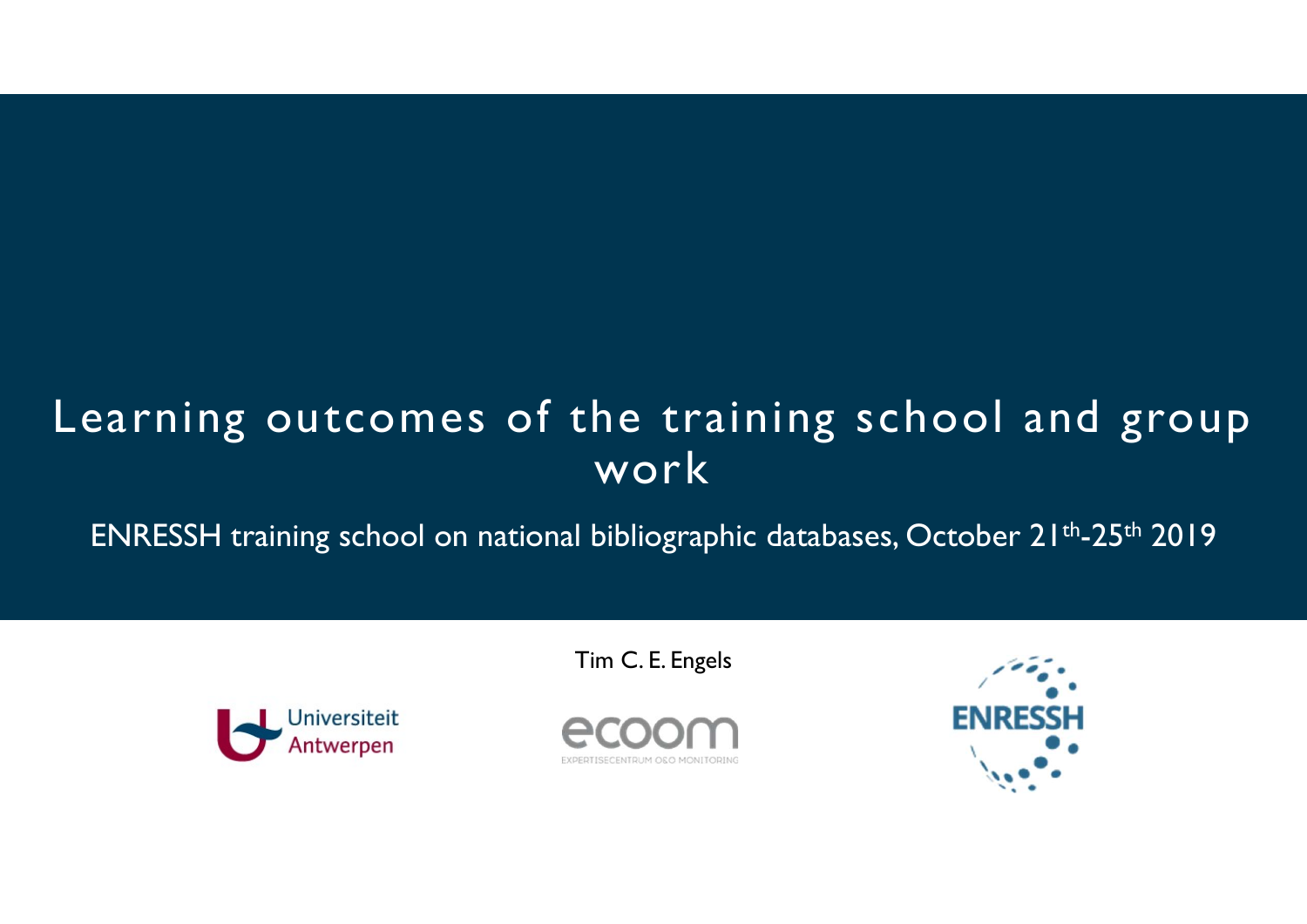## Learning outcomes of the training school and group work

ENRESSH training school on national bibliographic databases, October 21<sup>th</sup>-25<sup>th</sup> 2019<sup>1</sup>

Tim C. E. Engels



EXPERTISECENTRUM OSO MONITORI

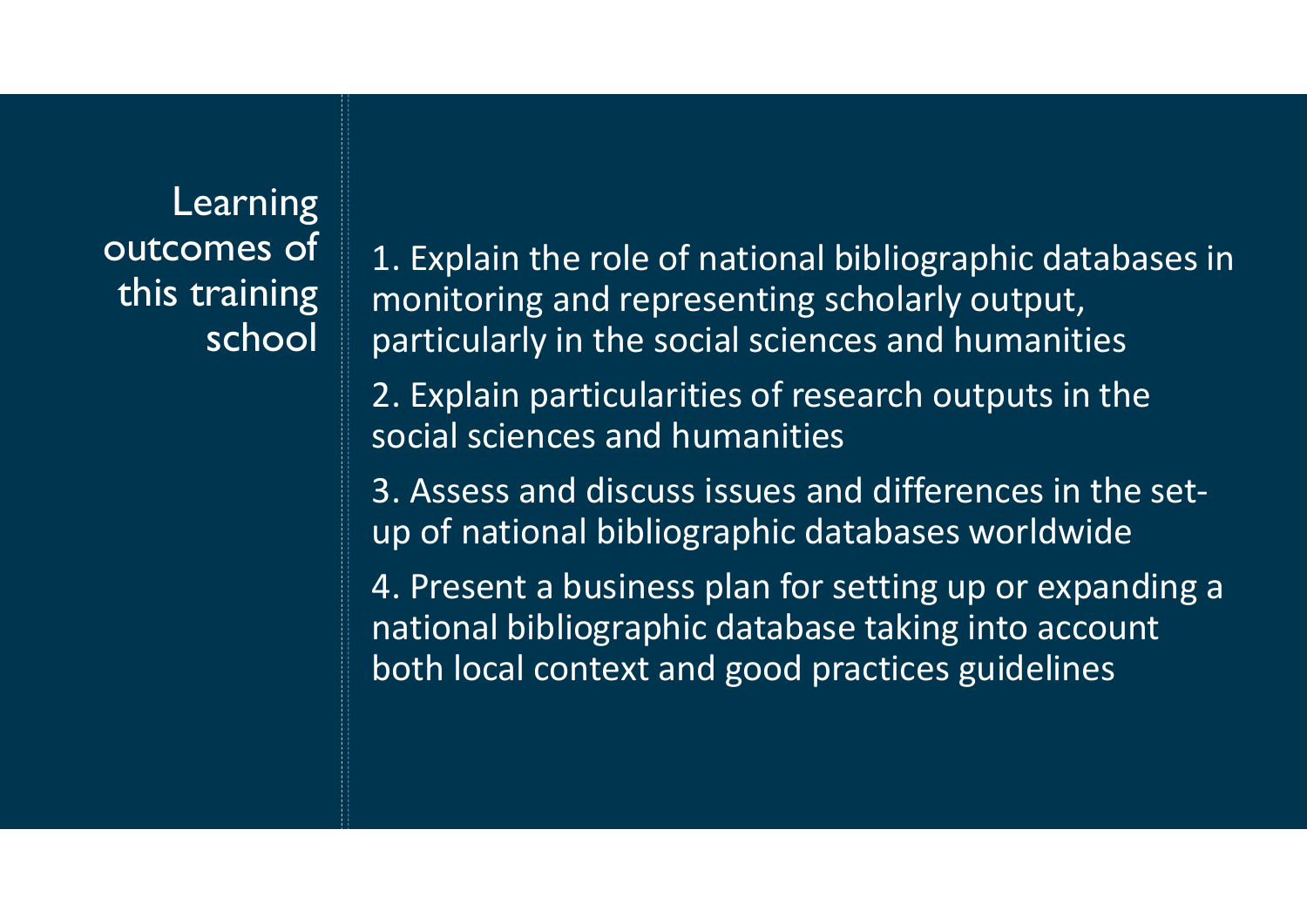**Learning** outcomes of this training school

1. Explain the role of national bibliographic databases in monitoring and representing scholarly output, particularly in the social sciences and humanities

2. Explain particularities of research outputs in the social sciences and humanities

3. Assess and discuss issues and differences in the setup of national bibliographic databases worldwide

4. Present a business plan for setting up or expanding a national bibliographic database taking into account both local context and good practices guidelines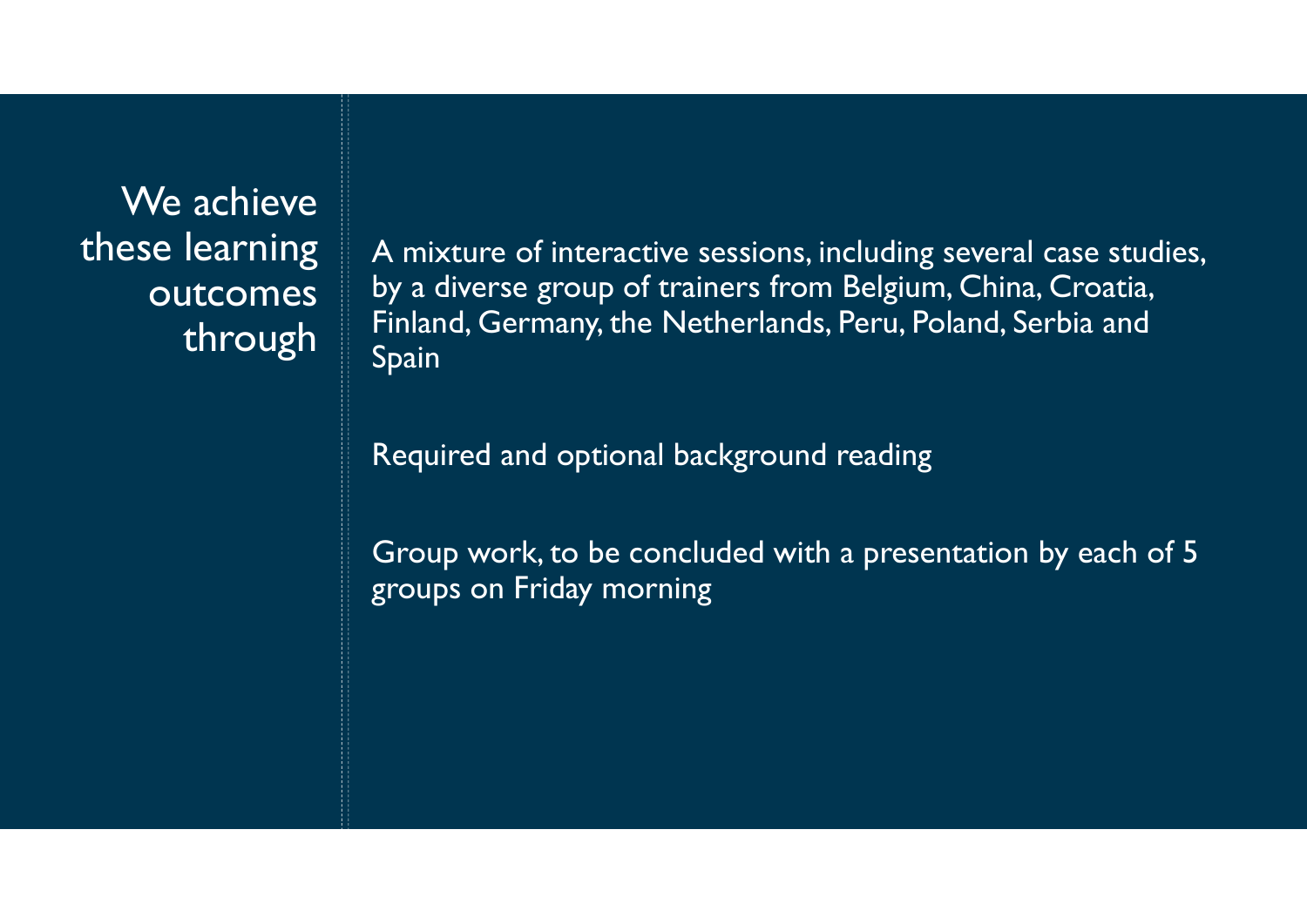We achieve these learning outcomes through

A mixture of interactive sessions, including several case studies, by a diverse group of trainers from Belgium, China, Croatia, Finland, Germany, the Netherlands, Peru, Poland, Serbia and Spain

Required and optional background reading

Group work, to be concluded with a presentation by each of 5 groups on Friday morning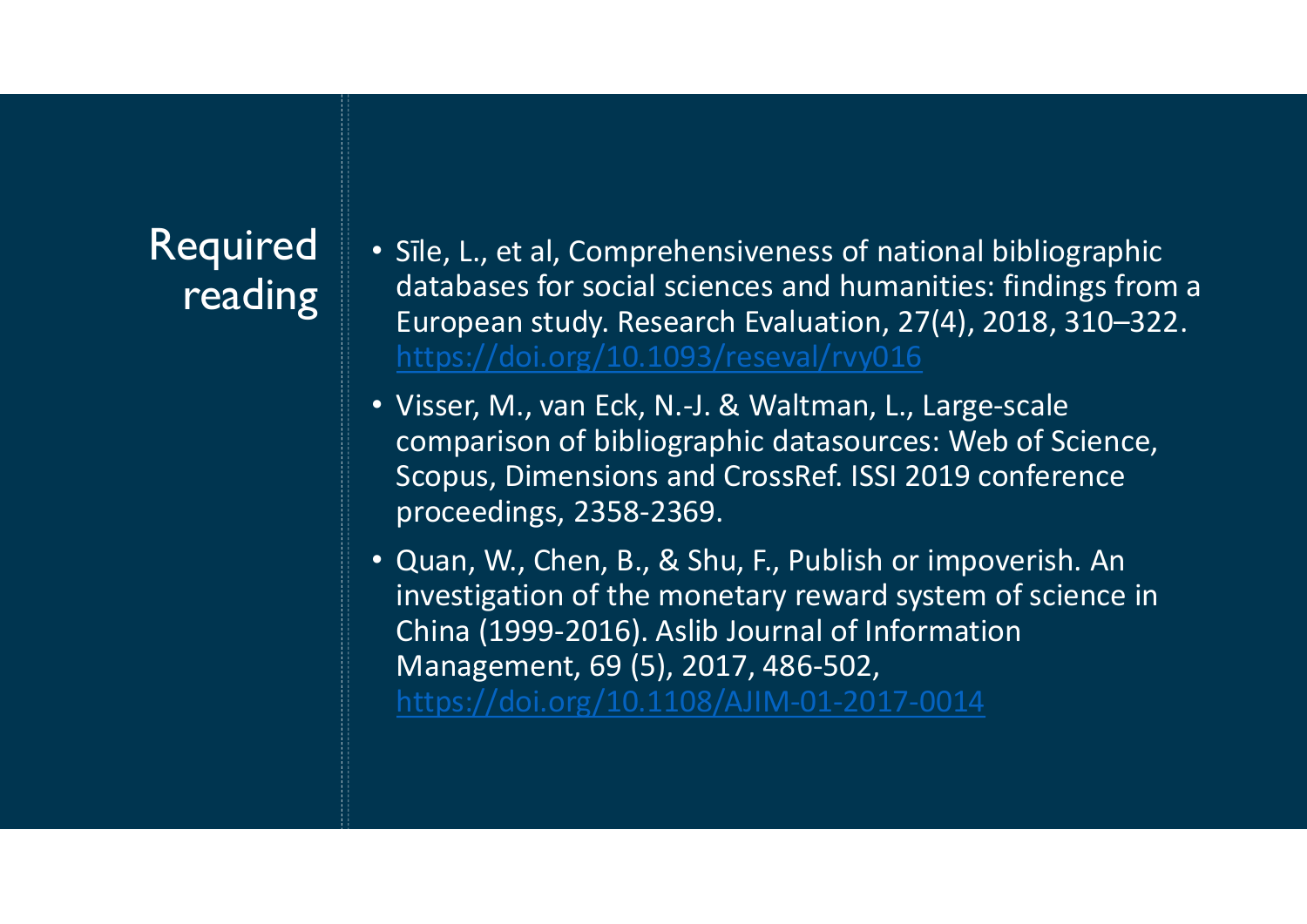## Required reading

- Sīle, L., et al, Comprehensiveness of national bibliographic databases for social sciences and humanities: findings from a European study. Research Evaluation, 27(4), 2018, 310–322. https://doi.org/10.1093/reseval/rvy016 Sile, L., et al, Comprehensiveness of national bibliographic<br>databases for social sciences and humanities: findings from a<br>European study. Research Evaluation, 27(4), 2018, 310–322.<br>https://doi.org/10.1093/reseval/rvy016<br>V Sile, L., et al, Comprehensiveness of national bibliographic<br>databases for social sciences and humanities: findings from a<br>European study. Research Evaluation, 27(4), 2018, 310–322.<br>https://doi.org/10.1093/reseval/rvy016<br>V • Sīle, L., et al, Comprehensiveness of national bibliographic<br>
databases for social sciences and humanities: findings from a<br>
European study. Research Evaluation, 27(4), 2018, 310–322.<br>
https://doi.org/10.1093/reseval/rv
- Visser, M., van Eck, N.-J. & Waltman, L., Large-scale<br>comparison of bibliographic datasources: Web of Science, proceedings, 2358-2369.
- Sīle, L., et al, Comprehensiveness of national bibliographic<br>databases for social sciences and humanities: findings from a<br>European study. Research Evaluation, 27(4), 2018, 310–322.<br>https://doi.org/10.1093/reseval/rvy016<br>V Sile, L., et al, Comprehensiveness of national bibliographic<br>databases for social sciences and humanities: findings from a<br>European study. Research Evaluation, 27(4), 2018, 310–322.<br>https://doi.org/10.1093/reseval/rvy016<br>V Management, 69 (5), 2017, 486-502, https://doi.org/10.1108/AJIM-01-2017-0014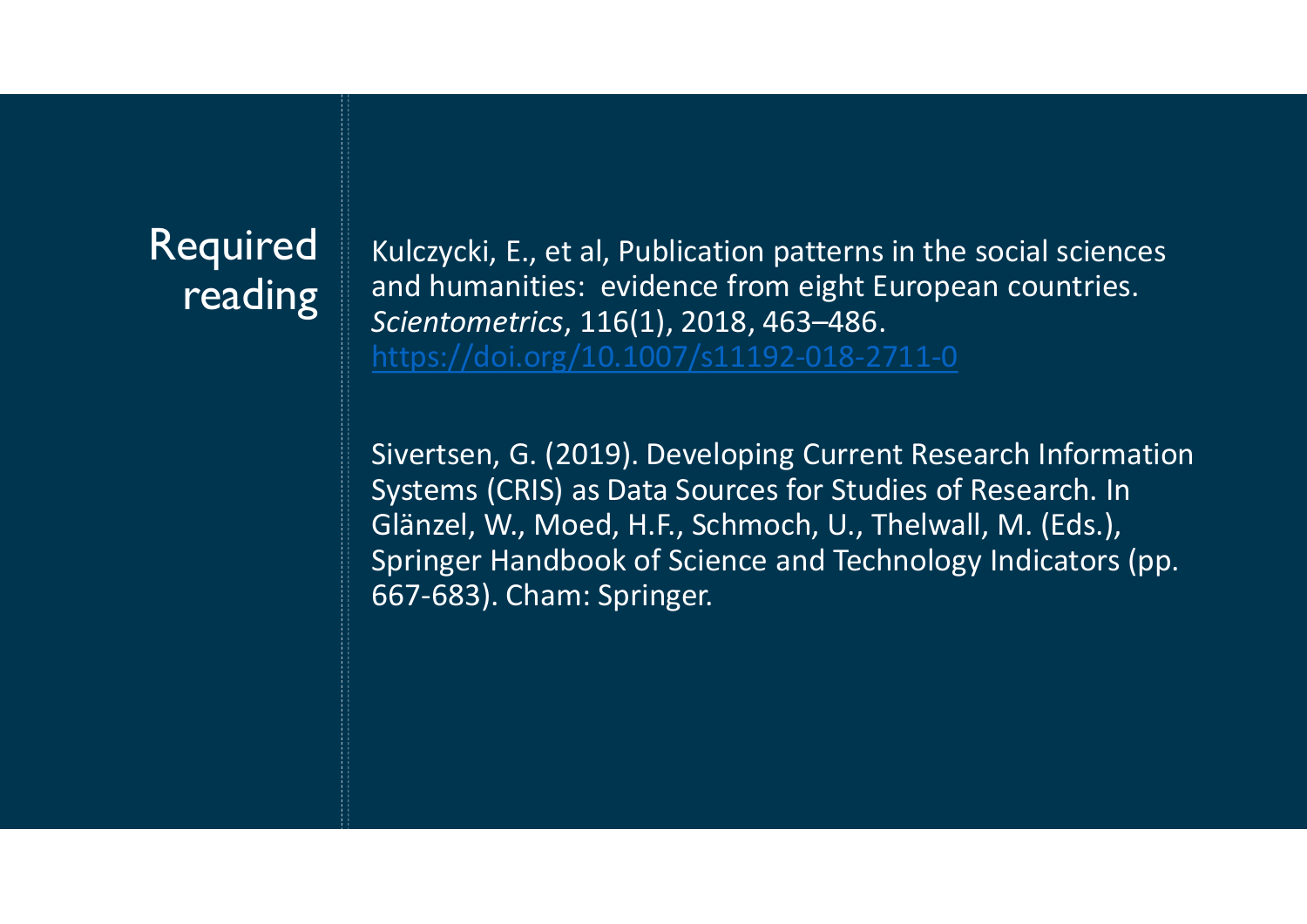## Required reading

Kulczycki, E., et al, Publication patterns in the social sciences and humanities: evidence from eight European countries. Scientometrics, 116(1), 2018, 463–486. https://doi.org/10.1007/s11192-018-2711-0

Sivertsen, G. (2019). Developing Current Research Information Systems (CRIS) as Data Sources for Studies of Research. In Glänzel, W., Moed, H.F., Schmoch, U., Thelwall, M. (Eds.), Springer Handbook of Science and Technology Indicators (pp. 667-683). Cham: Springer.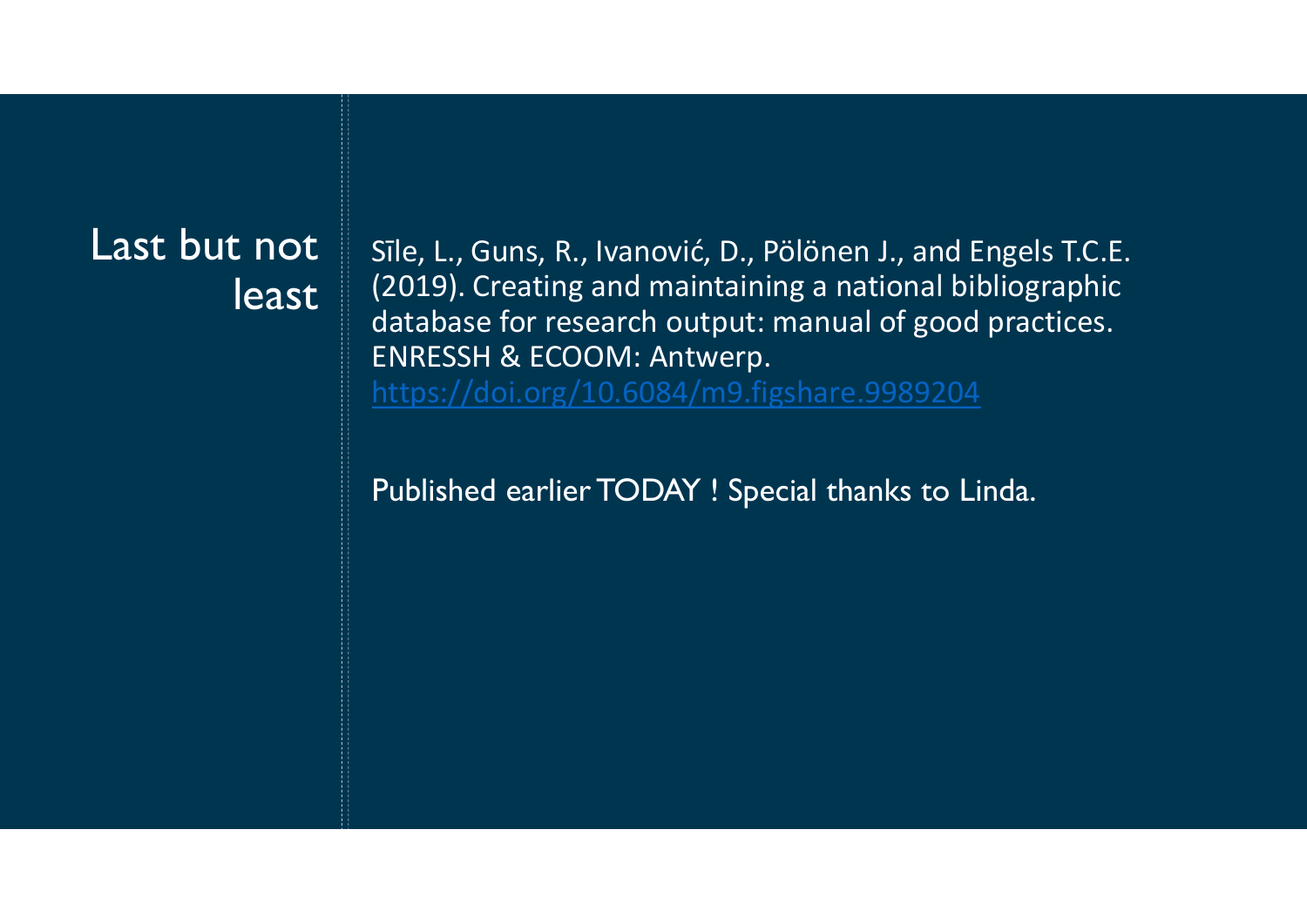## Last but not

**least** (2019). Creating and maintaining a national bibliographic<br>database for research output: manual of good practices. Sīle, L., Guns, R., Ivanović, D., Pölönen J., and Engels T.C.E. Sīle, L., Guns, R., Ivanović, D., Pölönen J., and Engels T.C.E.<br>(2019). Creating and maintaining a national bibliographic<br>database for research output: manual of good practices.<br>ENRESSH & ECOOM: Antwerp.<br>https://doi.org/10 Sīle, L., Guns, R., Ivanović, D., Pölönen J., and Engels T.C.E.<br>(2019). Creating and maintaining a national bibliographic<br>database for research output: manual of good practices.<br>ENRESSH & ECOOM: Antwerp.<br>https://doi.org/10 ENRESSH & ECOOM: Antwerp. https://doi.org/10.6084/m9.figshare.9989204 Sīle, L., Guns, R., Ivanović, D., Pölönen J., and Engels T.C.E.<br>(2019). Creating and maintaining a national bibliographic<br>database for research output: manual of good practices.<br>ENRESSH & ECOOM: Antwerp.<br>https://doi.org/10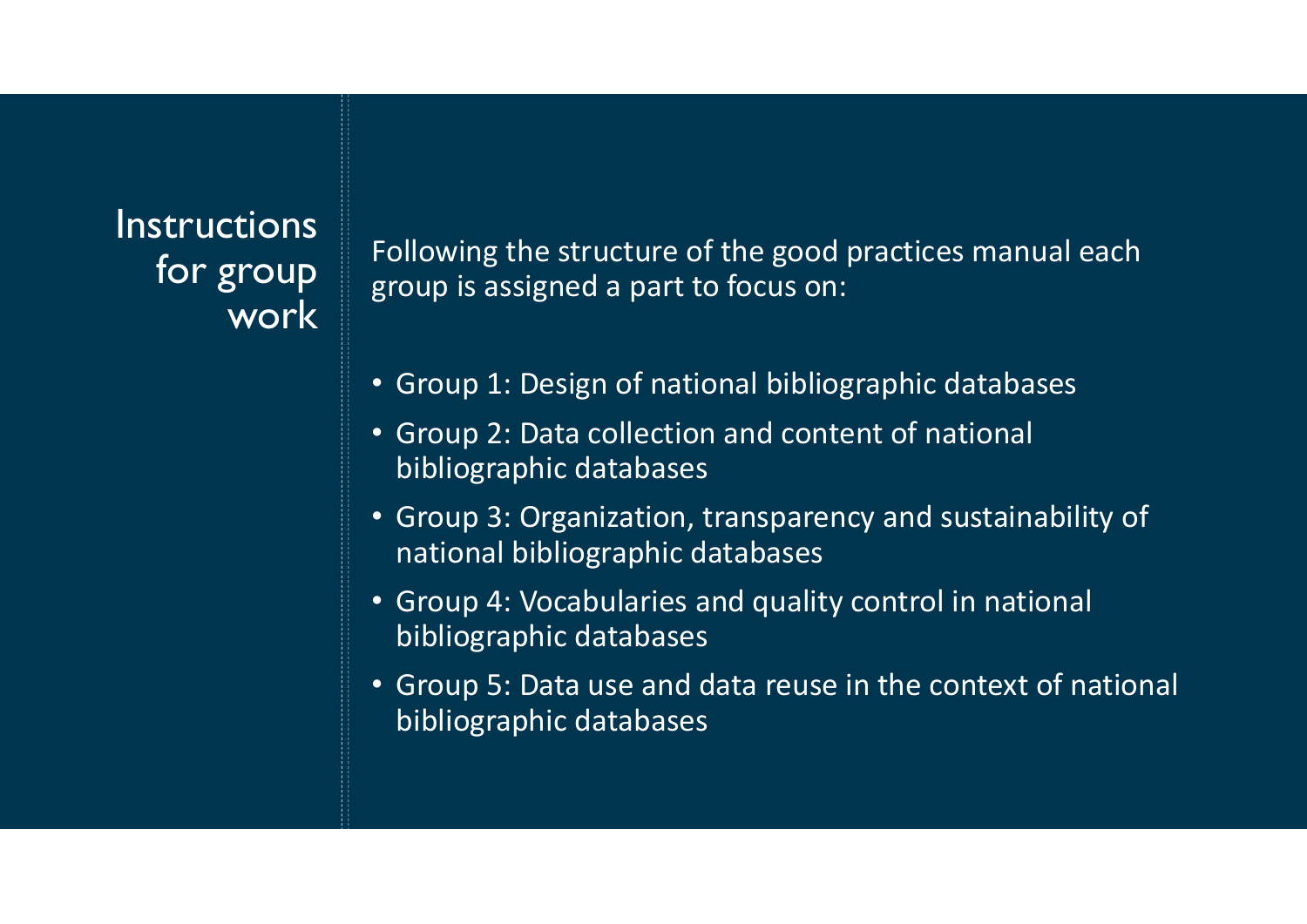# work<sup>1</sup>

Instructions<br>Following the structure of the good practices manual each for group group is assigned a part to focus on: Following the structure of the good practices manual each<br>group is assigned a part to focus on: Following the structure of the good practices manual each<br>group is assigned a part to focus on:<br>• Group 1: Design of national bibliographic databases

- Group 1: Design of national bibliographic databases
- Group 2: Data collection and content of national bibliographic databases
- Group 3: Organization, transparency and sustainability of national bibliographic databases
- Group 4: Vocabularies and quality control in national bibliographic databases
- Group 5: Data use and data reuse in the context of national bibliographic databases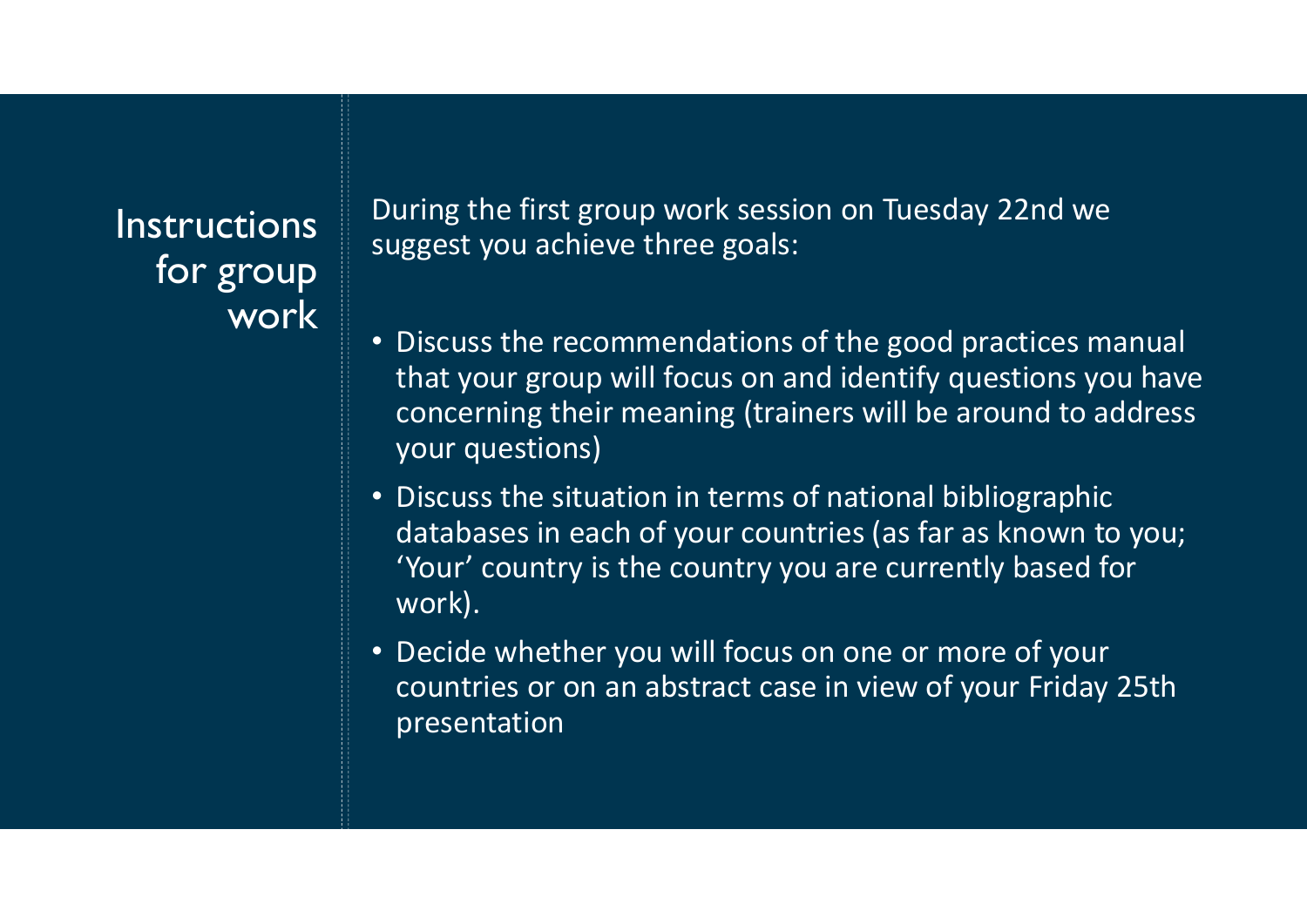**Instructions** for group work During the first group work session on Tuesday 22nd we suggest you achieve three goals:

- Discuss the recommendations of the good practices manual that your group will focus on and identify questions you have concerning their meaning (trainers will be around to address your questions)
- Discuss the situation in terms of national bibliographic databases in each of your countries (as far as known to you; 'Your' country is the country you are currently based for work).
- Decide whether you will focus on one or more of your countries or on an abstract case in view of your Friday 25th presentation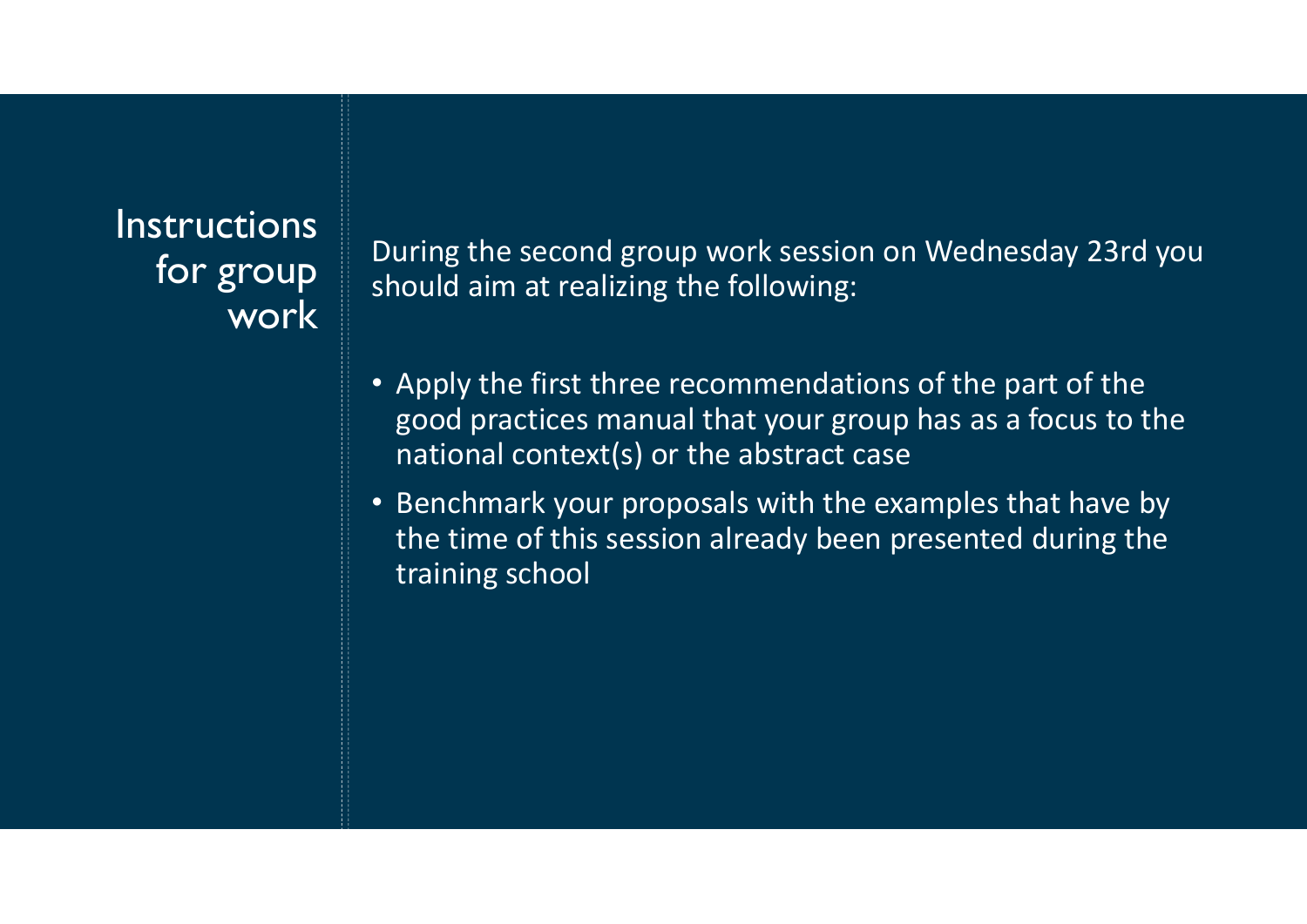### **Instructions** for group work

During the second group work session on Wednesday 23rd you should aim at realizing the following:

- Apply the first three recommendations of the part of the good practices manual that your group has as a focus to the national context(s) or the abstract case
- Benchmark your proposals with the examples that have by the time of this session already been presented during the training school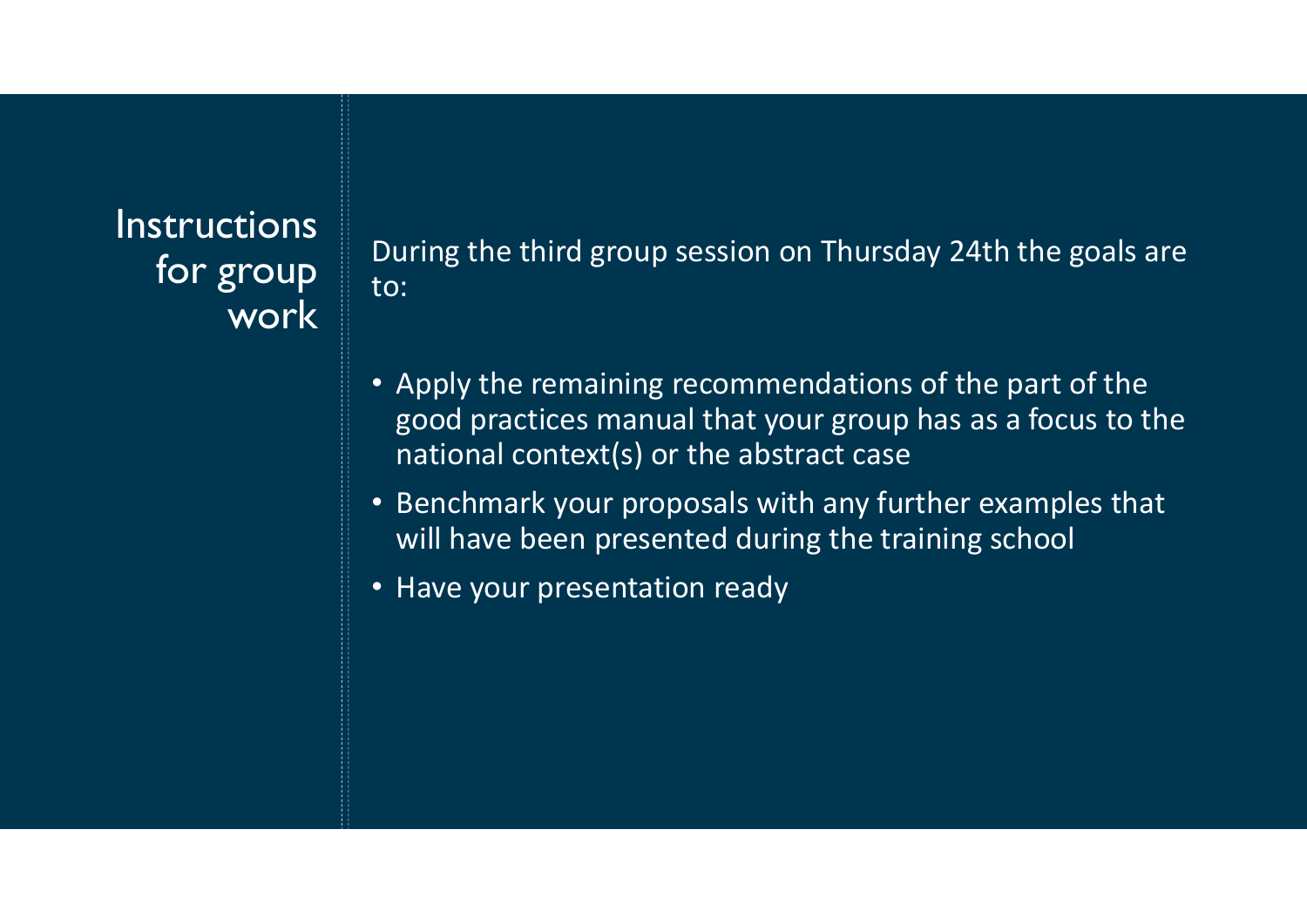**Instructions** for group work

During the third group session on Thursday 24th the goals are to:

- Apply the remaining recommendations of the part of the good practices manual that your group has as a focus to the national context(s) or the abstract case During the third group session on Thursday 24th the goals are<br>to:<br>• Apply the remaining recommendations of the part of the<br>good practices manual that your group has as a focus to the<br>national context(s) or the abstract cas
- Benchmark your proposals with any further examples that will have been presented during the training school
-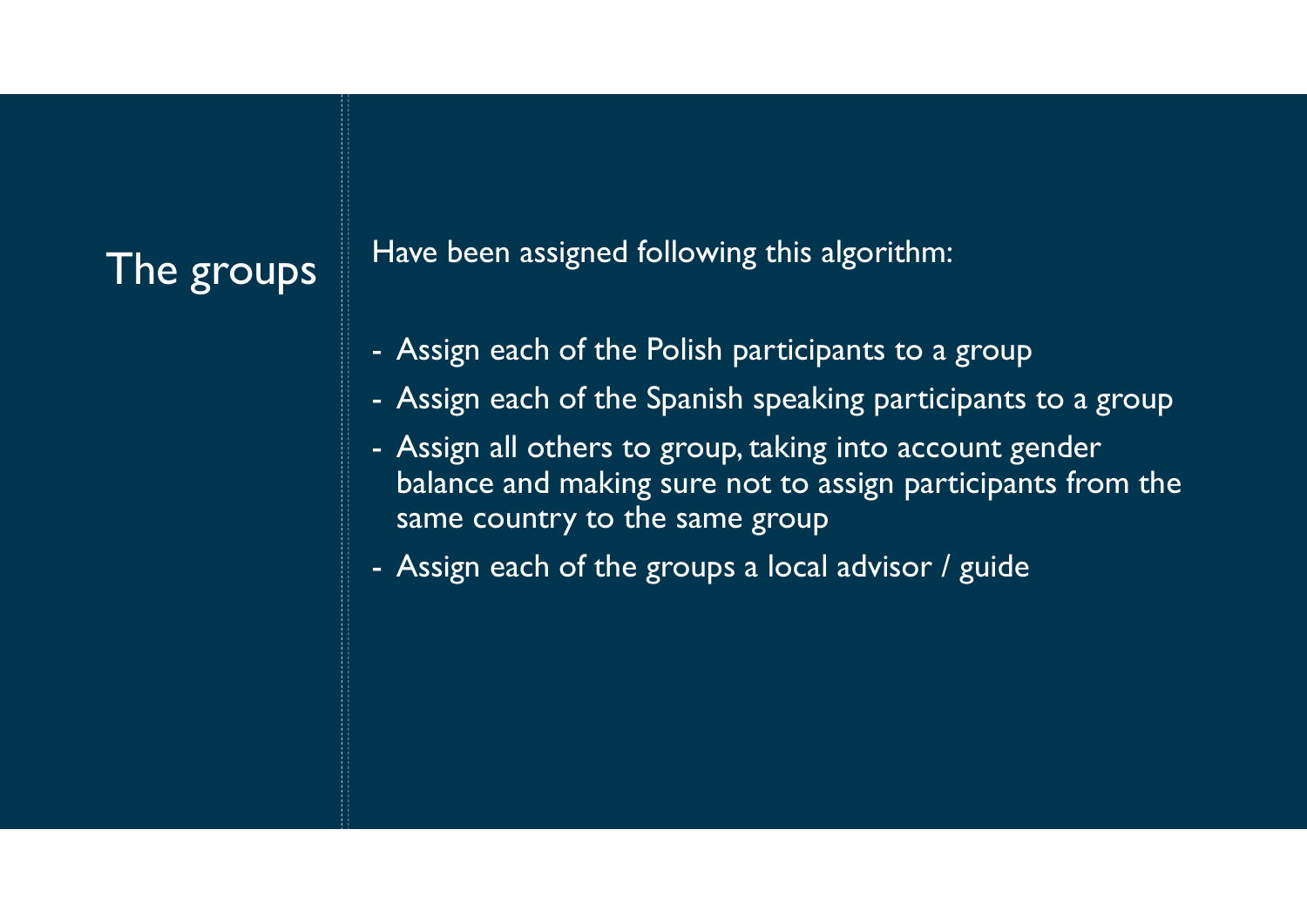The groups Have been assigned following this algorithm:

- 
- -<br>Have been assigned following this algorithm:<br>- Assign each of the Polish participants to a group<br>- Assign each of the Spanish speaking participants to a group<br>- Assign all others to group, taking into account gender
- Assign each of the Polish participants to a group<br>- Assign each of the Polish participants to a group<br>- Assign each of the Spanish speaking participants to a group<br>- Assign all others to group, taking into account gender Have been assigned following this algorithm:<br>- Assign each of the Polish participants to a group<br>- Assign each of the Spanish speaking participants to a group<br>- Assign all others to group, taking into account gender<br>balanc balance and making sure not to assign participants from the same country to the same group Have been assigned following this algorithm:<br>- Assign each of the Polish participants to a group<br>- Assign each of the Spanish speaking participants<br>- Assign all others to group, taking into account ge<br>balance and making su
-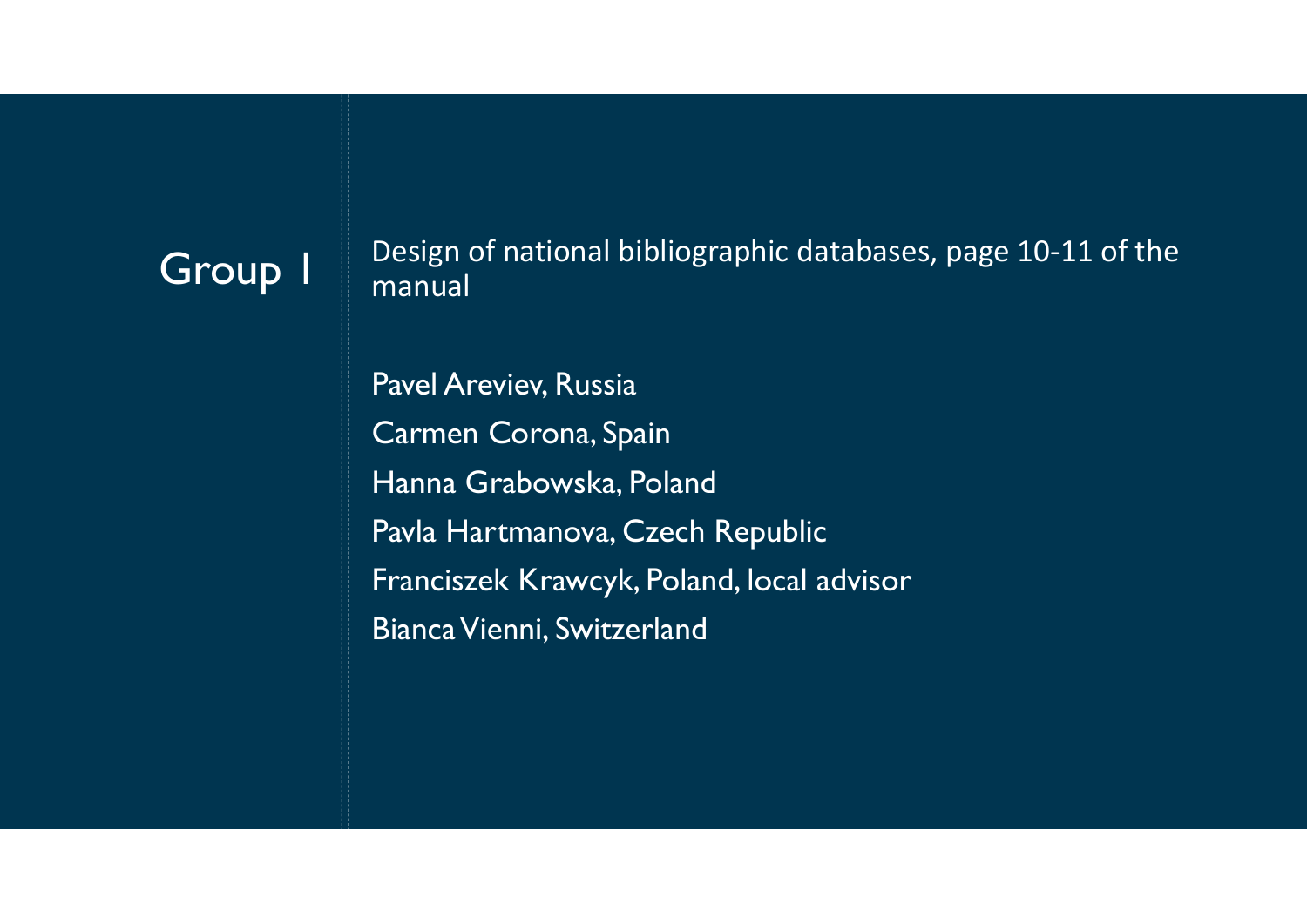$\textsf{Group I} \parallel \textsf{Design of national bibliographic databases, page 10-11 of the manual.}$ manual

> Pavel Areviev, Russia Carmen Corona, Spain Hanna Grabowska, Poland Pavla Hartmanova, Czech Republic Franciszek Krawcyk, Poland, local advisor Bianca Vienni, Switzerland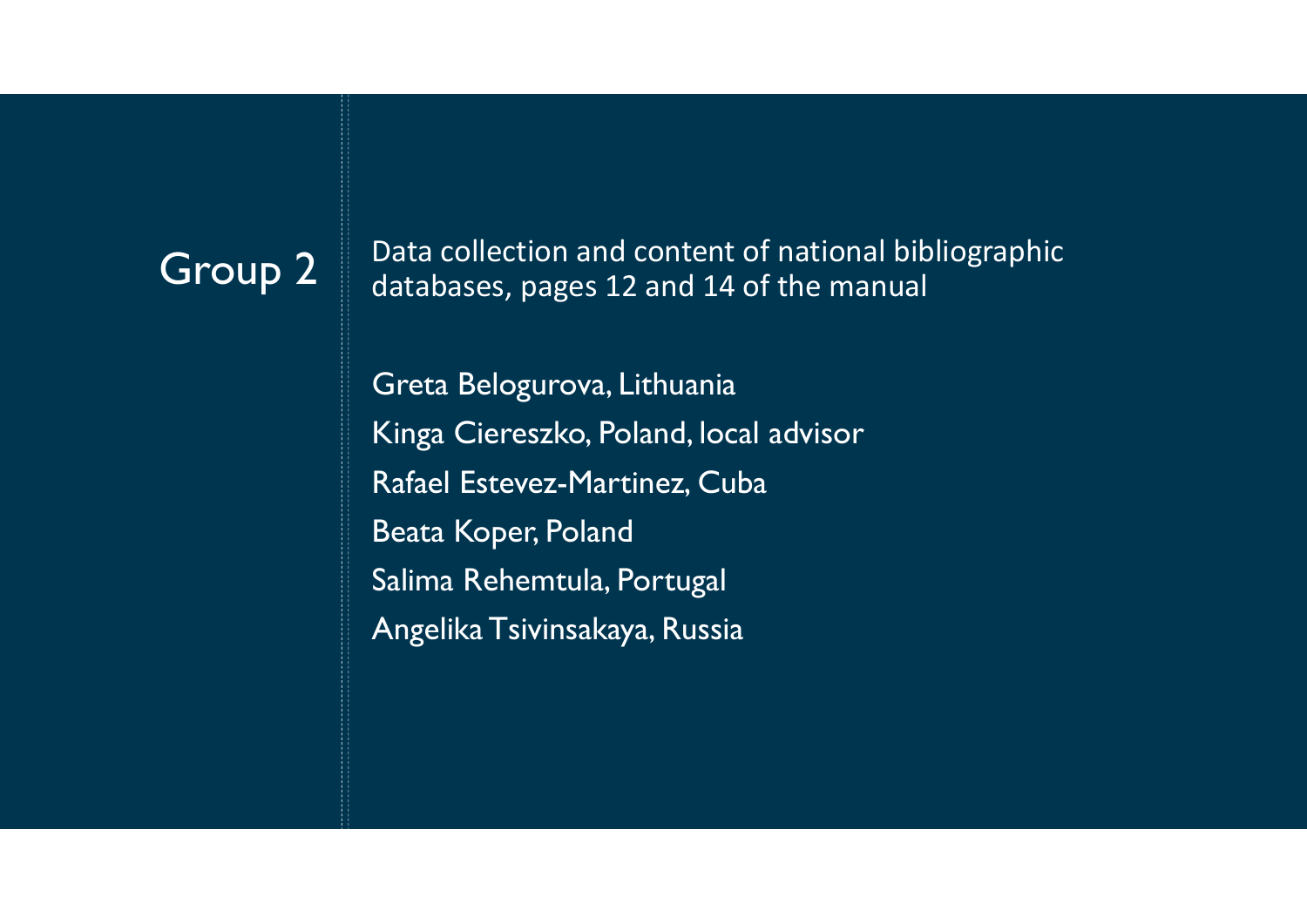Group 2 Data collection and content of national bibliographic<br>databases nages 12 and 14 of the manual databases, pages 12 and 14 of the manual

Greta Belogurova, Lithuania Kinga Ciereszko, Poland, local advisor Rafael Estevez-Martinez, Cuba Data collection and content of national biblic<br>databases, pages 12 and 14 of the manual<br>Greta Belogurova, Lithuania<br>Kinga Ciereszko, Poland, local advisor<br>Rafael Estevez-Martinez, Cuba<br>Beata Koper, Poland<br>Salima Rehemtula, Data collection and content of national biblio;<br>databases, pages 12 and 14 of the manual<br>Greta Belogurova, Lithuania<br>Kinga Ciereszko, Poland, local advisor<br>Rafael Estevez-Martinez, Cuba<br>Beata Koper, Poland<br>Salima Rehemtula Angelika Tsivinsakaya, Russia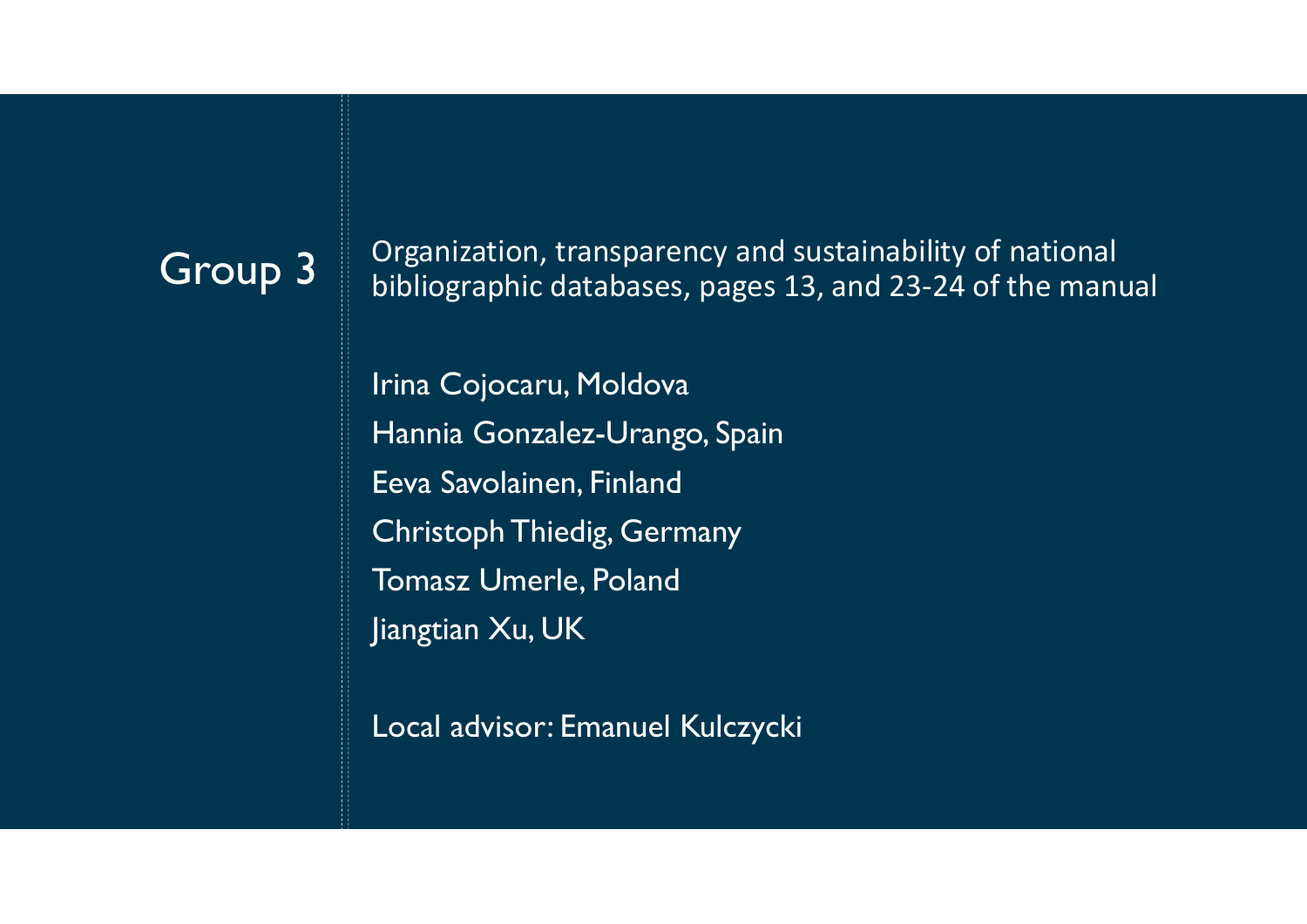Group 3 Organization, transparency and sustainability of national Group 3 bibliographic databases nages 13 and 23-24 of the man bibliographic databases, pages 13, and 23-24 of the manual

Irina Cojocaru, Moldova Organization, transparency and sustainability of r<br>bibliographic databases, pages 13, and 23-24 of tl<br>Irina Cojocaru, Moldova<br>Hannia Gonzalez-Urango, Spain<br>Eeva Savolainen, Finland<br>Christoph Thiedig, Germany Eeva Savolainen, Finland Christoph Thiedig, Germany Tomasz Umerle, Poland Jiangtian Xu, UK

Local advisor: Emanuel Kulczycki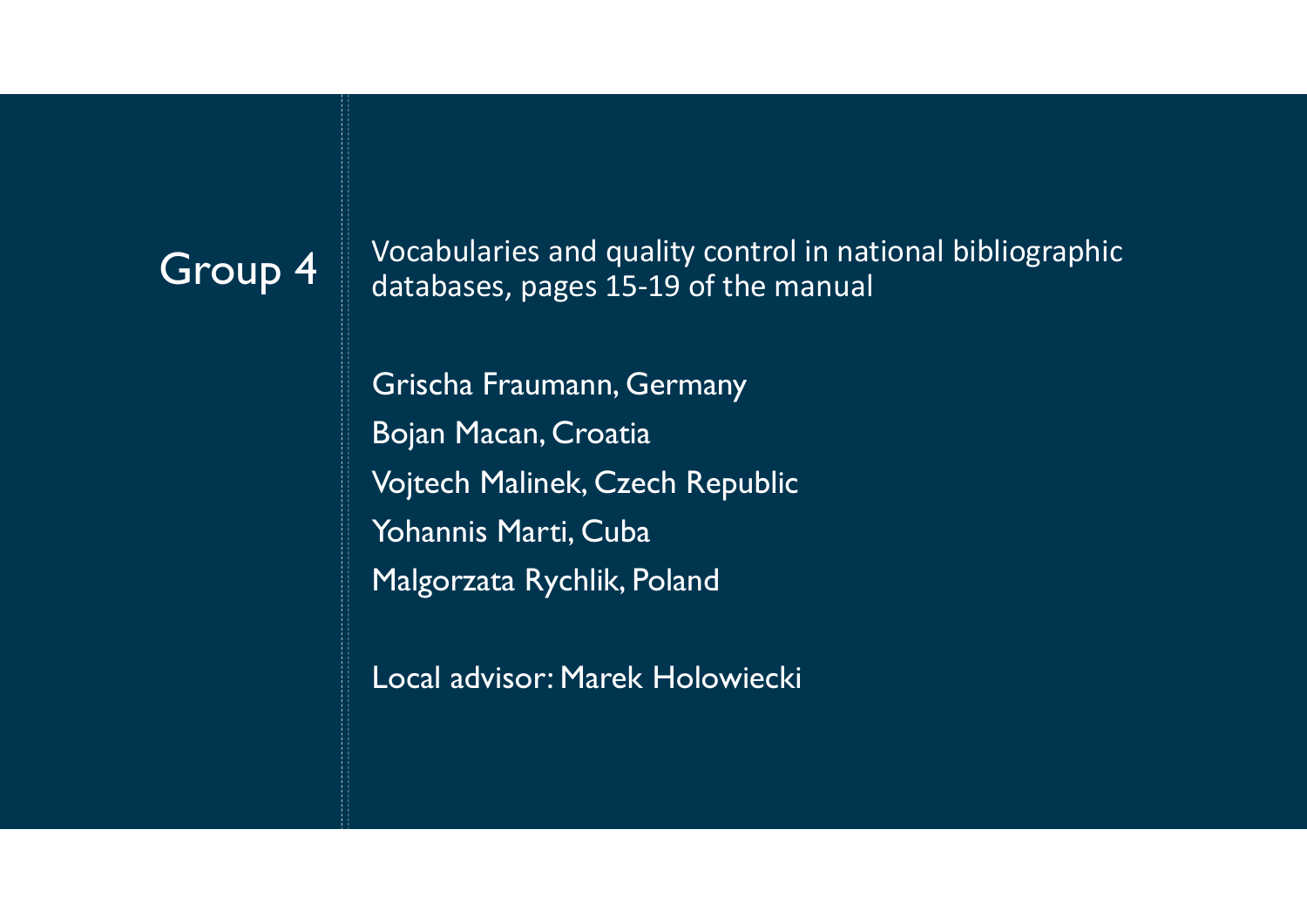Group  $4$  Vocabularies and quality control in national bibliographic<br>databases nages 15-19 of the manual databases, pages 15-19 of the manual

Vocabularies and quality control in national bib<br>databases, pages 15-19 of the manual<br>Grischa Fraumann, Germany<br>Bojan Macan, Croatia<br>Vojtech Malinek, Czech Republic Vocabularies and quality control in national k<br>databases, pages 15-19 of the manual<br>Grischa Fraumann, Germany<br>Bojan Macan, Croatia<br>Vojtech Malinek, Czech Republic<br>Yohannis Marti, Cuba Vocabularies and quality control in national bibli<br>databases, pages 15-19 of the manual<br>Grischa Fraumann, Germany<br>Bojan Macan, Croatia<br>Vojtech Malinek, Czech Republic<br>Yohannis Marti, Cuba<br>Malgorzata Rychlik, Poland Yohannis Marti, Cuba Vocabularies and quality control in national bibliog<br>databases, pages 15-19 of the manual<br>Grischa Fraumann, Germany<br>Bojan Macan, Croatia<br>Vojtech Malinek, Czech Republic<br>Yohannis Marti, Cuba<br>Malgorzata Rychlik, Poland<br>Local

Local advisor: Marek Holowiecki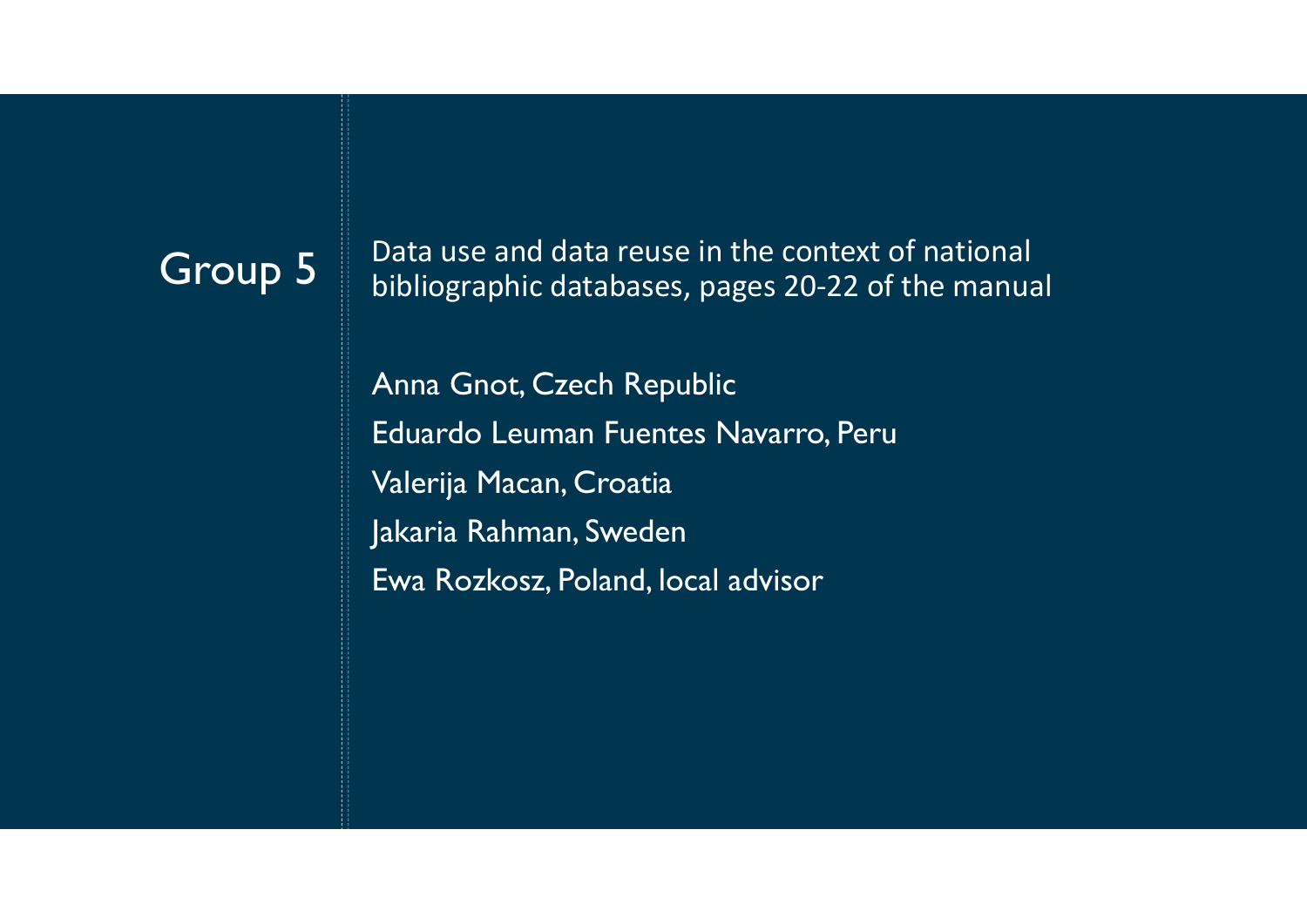$\begin{array}{|l|l|}\n\hline\n\textbf{Group 5} & \textbf{Data use and data reuse in the context of national  
bibliographic databases, pages 20-22 of the many$ bibliographic databases, pages 20-22 of the manual

Anna Gnot, Czech Republic Data use and data reuse in the context of national<br>bibliographic databases, pages 20-22 of the manual<br>Anna Gnot, Czech Republic<br>Eduardo Leuman Fuentes Navarro, Peru<br>Valerija Macan, Croatia<br>Jakaria Rahman, Sweden Data use and data reuse in the context of natic<br>bibliographic databases, pages 20-22 of the ma<br>Anna Gnot, Czech Republic<br>Eduardo Leuman Fuentes Navarro, Peru<br>Valerija Macan, Croatia<br>Jakaria Rahman, Sweden<br>Ewa Rozkosz, Pola Jakaria Rahman, Sweden Ewa Rozkosz, Poland, local advisor